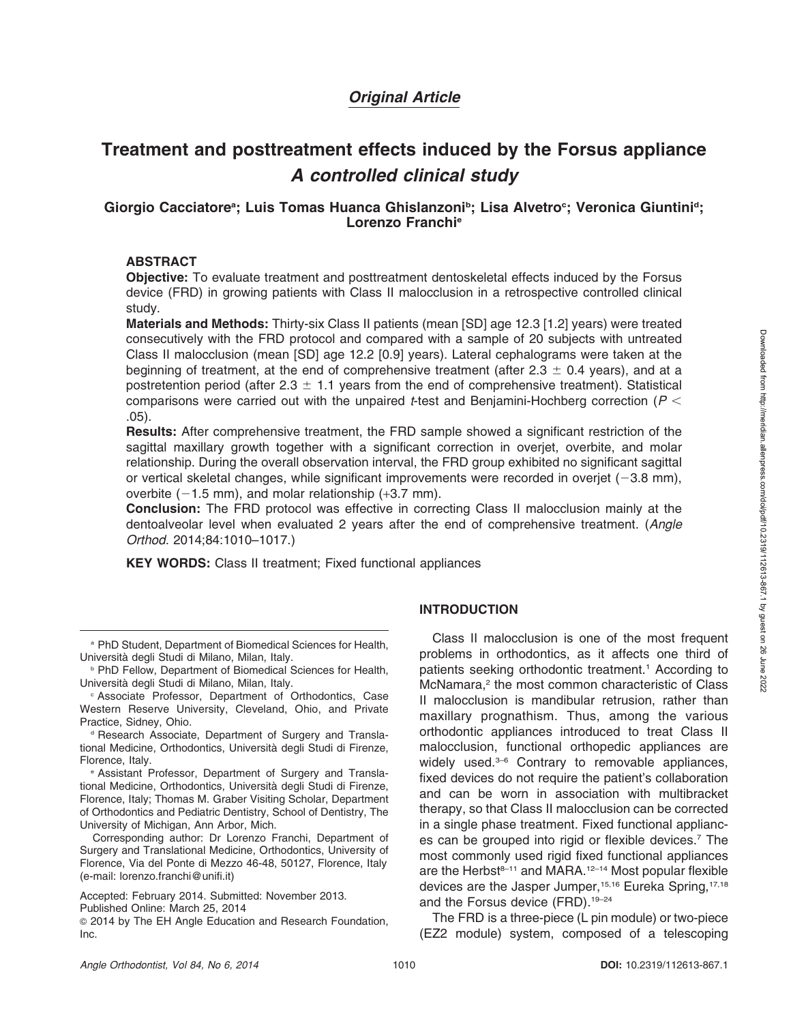## Original Article

# Treatment and posttreatment effects induced by the Forsus appliance A controlled clinical study

## Giorgio Cacciatore<sup>a</sup>; Luis Tomas Huanca Ghislanzoni<sup>b</sup>; Lisa Alvetro<sup>c</sup>; Veronica Giuntini<sup>d</sup>; Lorenzo Franchie

#### ABSTRACT

Objective: To evaluate treatment and posttreatment dentoskeletal effects induced by the Forsus device (FRD) in growing patients with Class II malocclusion in a retrospective controlled clinical study.

Materials and Methods: Thirty-six Class II patients (mean [SD] age 12.3 [1.2] years) were treated consecutively with the FRD protocol and compared with a sample of 20 subjects with untreated Class II malocclusion (mean [SD] age 12.2 [0.9] years). Lateral cephalograms were taken at the beginning of treatment, at the end of comprehensive treatment (after  $2.3 \pm 0.4$  years), and at a postretention period (after 2.3  $\pm$  1.1 years from the end of comprehensive treatment). Statistical comparisons were carried out with the unpaired t-test and Benjamini-Hochberg correction ( $P <$ .05).

Results: After comprehensive treatment, the FRD sample showed a significant restriction of the sagittal maxillary growth together with a significant correction in overjet, overbite, and molar relationship. During the overall observation interval, the FRD group exhibited no significant sagittal or vertical skeletal changes, while significant improvements were recorded in overjet  $(-3.8 \text{ mm})$ , overbite  $(-1.5 \text{ mm})$ , and molar relationship  $(+3.7 \text{ mm})$ .

Conclusion: The FRD protocol was effective in correcting Class II malocclusion mainly at the dentoalveolar level when evaluated 2 years after the end of comprehensive treatment. (Angle Orthod. 2014;84:1010–1017.)

KEY WORDS: Class II treatment; Fixed functional appliances

**PhD Fellow, Department of Biomedical Sciences for Health,** Universita` degli Studi di Milano, Milan, Italy.

<sup>c</sup> Associate Professor, Department of Orthodontics, Case Western Reserve University, Cleveland, Ohio, and Private Practice, Sidney, Ohio.

<sup>d</sup> Research Associate, Department of Surgery and Translational Medicine, Orthodontics, Universita` degli Studi di Firenze, Florence, Italy.

<sup>e</sup> Assistant Professor, Department of Surgery and Translational Medicine, Orthodontics, Universita` degli Studi di Firenze, Florence, Italy; Thomas M. Graber Visiting Scholar, Department of Orthodontics and Pediatric Dentistry, School of Dentistry, The University of Michigan, Ann Arbor, Mich.

Corresponding author: Dr Lorenzo Franchi, Department of Surgery and Translational Medicine, Orthodontics, University of Florence, Via del Ponte di Mezzo 46-48, 50127, Florence, Italy (e-mail: lorenzo.franchi@unifi.it)

Accepted: February 2014. Submitted: November 2013. Published Online: March 25, 2014

<sup>G</sup> 2014 by The EH Angle Education and Research Foundation, Inc.

## INTRODUCTION

Class II malocclusion is one of the most frequent problems in orthodontics, as it affects one third of patients seeking orthodontic treatment.<sup>1</sup> According to McNamara,<sup>2</sup> the most common characteristic of Class II malocclusion is mandibular retrusion, rather than maxillary prognathism. Thus, among the various orthodontic appliances introduced to treat Class II malocclusion, functional orthopedic appliances are widely used.<sup>3–6</sup> Contrary to removable appliances, fixed devices do not require the patient's collaboration and can be worn in association with multibracket therapy, so that Class II malocclusion can be corrected in a single phase treatment. Fixed functional appliances can be grouped into rigid or flexible devices.7 The most commonly used rigid fixed functional appliances are the Herbst $8-11$  and MARA.<sup>12–14</sup> Most popular flexible devices are the Jasper Jumper,<sup>15,16</sup> Eureka Spring,<sup>17,18</sup> and the Forsus device (FRD).<sup>19-24</sup>

The FRD is a three-piece (L pin module) or two-piece (EZ2 module) system, composed of a telescoping

<sup>a</sup> PhD Student, Department of Biomedical Sciences for Health, Universita` degli Studi di Milano, Milan, Italy.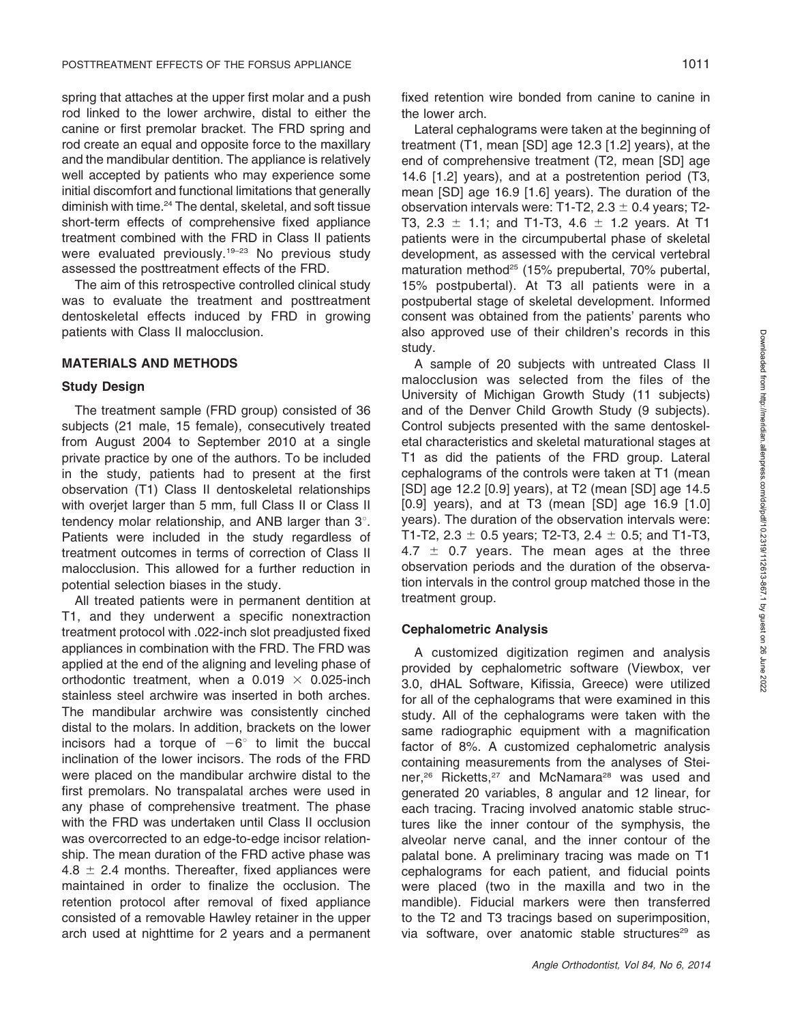spring that attaches at the upper first molar and a push rod linked to the lower archwire, distal to either the canine or first premolar bracket. The FRD spring and rod create an equal and opposite force to the maxillary and the mandibular dentition. The appliance is relatively well accepted by patients who may experience some initial discomfort and functional limitations that generally diminish with time.<sup>24</sup> The dental, skeletal, and soft tissue short-term effects of comprehensive fixed appliance treatment combined with the FRD in Class II patients were evaluated previously.<sup>19-23</sup> No previous study assessed the posttreatment effects of the FRD.

The aim of this retrospective controlled clinical study was to evaluate the treatment and posttreatment dentoskeletal effects induced by FRD in growing patients with Class II malocclusion.

#### MATERIALS AND METHODS

#### Study Design

The treatment sample (FRD group) consisted of 36 subjects (21 male, 15 female), consecutively treated from August 2004 to September 2010 at a single private practice by one of the authors. To be included in the study, patients had to present at the first observation (T1) Class II dentoskeletal relationships with overjet larger than 5 mm, full Class II or Class II tendency molar relationship, and ANB larger than  $3^\circ$ . Patients were included in the study regardless of treatment outcomes in terms of correction of Class II malocclusion. This allowed for a further reduction in potential selection biases in the study.

All treated patients were in permanent dentition at T1, and they underwent a specific nonextraction treatment protocol with .022-inch slot preadjusted fixed appliances in combination with the FRD. The FRD was applied at the end of the aligning and leveling phase of orthodontic treatment, when a 0.019  $\times$  0.025-inch stainless steel archwire was inserted in both arches. The mandibular archwire was consistently cinched distal to the molars. In addition, brackets on the lower incisors had a torque of  $-6^\circ$  to limit the buccal inclination of the lower incisors. The rods of the FRD were placed on the mandibular archwire distal to the first premolars. No transpalatal arches were used in any phase of comprehensive treatment. The phase with the FRD was undertaken until Class II occlusion was overcorrected to an edge-to-edge incisor relationship. The mean duration of the FRD active phase was 4.8  $\pm$  2.4 months. Thereafter, fixed appliances were maintained in order to finalize the occlusion. The retention protocol after removal of fixed appliance consisted of a removable Hawley retainer in the upper arch used at nighttime for 2 years and a permanent

fixed retention wire bonded from canine to canine in the lower arch.

Lateral cephalograms were taken at the beginning of treatment (T1, mean [SD] age 12.3 [1.2] years), at the end of comprehensive treatment (T2, mean [SD] age 14.6 [1.2] years), and at a postretention period (T3, mean [SD] age 16.9 [1.6] years). The duration of the observation intervals were: T1-T2,  $2.3 \pm 0.4$  years; T2-T3, 2.3  $\pm$  1.1; and T1-T3, 4.6  $\pm$  1.2 years. At T1 patients were in the circumpubertal phase of skeletal development, as assessed with the cervical vertebral maturation method<sup>25</sup> (15% prepubertal, 70% pubertal, 15% postpubertal). At T3 all patients were in a postpubertal stage of skeletal development. Informed consent was obtained from the patients' parents who also approved use of their children's records in this study.

A sample of 20 subjects with untreated Class II malocclusion was selected from the files of the University of Michigan Growth Study (11 subjects) and of the Denver Child Growth Study (9 subjects). Control subjects presented with the same dentoskeletal characteristics and skeletal maturational stages at T1 as did the patients of the FRD group. Lateral cephalograms of the controls were taken at T1 (mean [SD] age 12.2 [0.9] years), at T2 (mean [SD] age 14.5 [0.9] years), and at T3 (mean [SD] age 16.9 [1.0] years). The duration of the observation intervals were: T1-T2, 2.3  $\pm$  0.5 years; T2-T3, 2.4  $\pm$  0.5; and T1-T3, 4.7  $\pm$  0.7 years. The mean ages at the three observation periods and the duration of the observation intervals in the control group matched those in the treatment group.

#### Cephalometric Analysis

A customized digitization regimen and analysis provided by cephalometric software (Viewbox, ver 3.0, dHAL Software, Kifissia, Greece) were utilized for all of the cephalograms that were examined in this study. All of the cephalograms were taken with the same radiographic equipment with a magnification factor of 8%. A customized cephalometric analysis containing measurements from the analyses of Steiner,<sup>26</sup> Ricketts,<sup>27</sup> and McNamara<sup>28</sup> was used and generated 20 variables, 8 angular and 12 linear, for each tracing. Tracing involved anatomic stable structures like the inner contour of the symphysis, the alveolar nerve canal, and the inner contour of the palatal bone. A preliminary tracing was made on T1 cephalograms for each patient, and fiducial points were placed (two in the maxilla and two in the mandible). Fiducial markers were then transferred to the T2 and T3 tracings based on superimposition, via software, over anatomic stable structures<sup>29</sup> as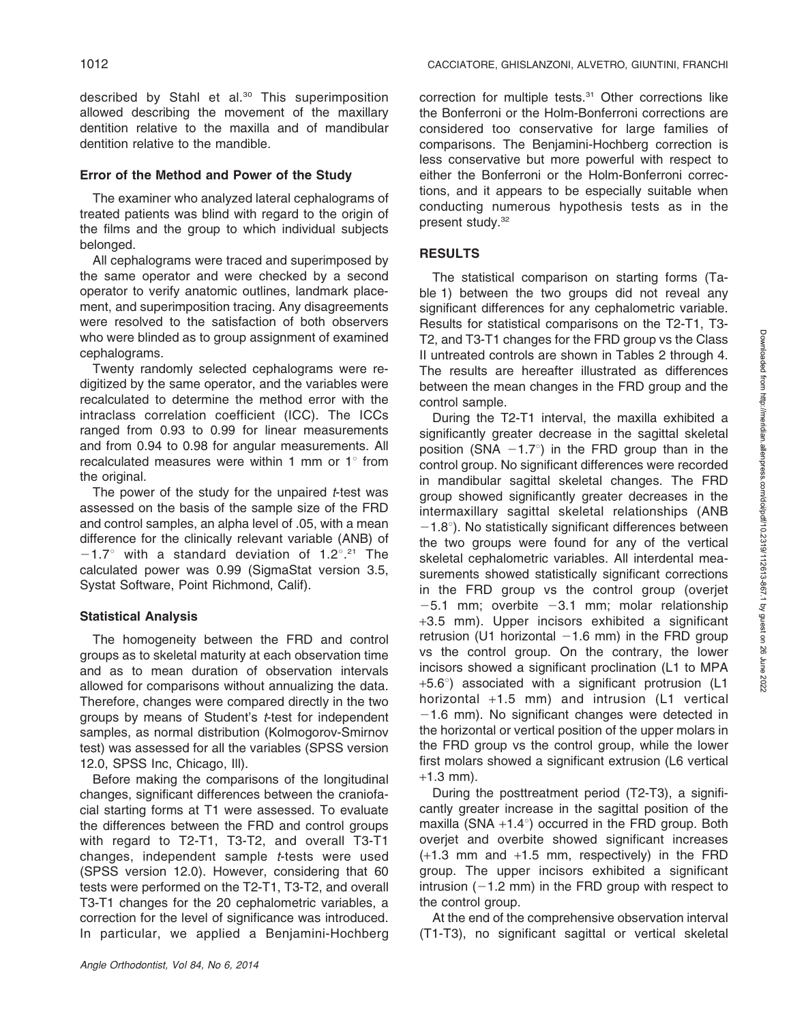described by Stahl et al.<sup>30</sup> This superimposition allowed describing the movement of the maxillary dentition relative to the maxilla and of mandibular dentition relative to the mandible.

### Error of the Method and Power of the Study

The examiner who analyzed lateral cephalograms of treated patients was blind with regard to the origin of the films and the group to which individual subjects belonged.

All cephalograms were traced and superimposed by the same operator and were checked by a second operator to verify anatomic outlines, landmark placement, and superimposition tracing. Any disagreements were resolved to the satisfaction of both observers who were blinded as to group assignment of examined cephalograms.

Twenty randomly selected cephalograms were redigitized by the same operator, and the variables were recalculated to determine the method error with the intraclass correlation coefficient (ICC). The ICCs ranged from 0.93 to 0.99 for linear measurements and from 0.94 to 0.98 for angular measurements. All recalculated measures were within 1 mm or  $1^\circ$  from the original.

The power of the study for the unpaired *-test was* assessed on the basis of the sample size of the FRD and control samples, an alpha level of .05, with a mean difference for the clinically relevant variable (ANB) of  $-1.7^{\circ}$  with a standard deviation of 1.2°.<sup>21</sup> The calculated power was 0.99 (SigmaStat version 3.5, Systat Software, Point Richmond, Calif).

## Statistical Analysis

The homogeneity between the FRD and control groups as to skeletal maturity at each observation time and as to mean duration of observation intervals allowed for comparisons without annualizing the data. Therefore, changes were compared directly in the two groups by means of Student's t-test for independent samples, as normal distribution (Kolmogorov-Smirnov test) was assessed for all the variables (SPSS version 12.0, SPSS Inc, Chicago, Ill).

Before making the comparisons of the longitudinal changes, significant differences between the craniofacial starting forms at T1 were assessed. To evaluate the differences between the FRD and control groups with regard to T2-T1, T3-T2, and overall T3-T1 changes, independent sample t-tests were used (SPSS version 12.0). However, considering that 60 tests were performed on the T2-T1, T3-T2, and overall T3-T1 changes for the 20 cephalometric variables, a correction for the level of significance was introduced. In particular, we applied a Benjamini-Hochberg correction for multiple tests.<sup>31</sup> Other corrections like the Bonferroni or the Holm-Bonferroni corrections are considered too conservative for large families of comparisons. The Benjamini-Hochberg correction is less conservative but more powerful with respect to either the Bonferroni or the Holm-Bonferroni corrections, and it appears to be especially suitable when conducting numerous hypothesis tests as in the present study.<sup>32</sup>

## RESULTS

The statistical comparison on starting forms (Table 1) between the two groups did not reveal any significant differences for any cephalometric variable. Results for statistical comparisons on the T2-T1, T3- T2, and T3-T1 changes for the FRD group vs the Class II untreated controls are shown in Tables 2 through 4. The results are hereafter illustrated as differences between the mean changes in the FRD group and the control sample.

During the T2-T1 interval, the maxilla exhibited a significantly greater decrease in the sagittal skeletal position (SNA  $-1.7^{\circ}$ ) in the FRD group than in the control group. No significant differences were recorded in mandibular sagittal skeletal changes. The FRD group showed significantly greater decreases in the intermaxillary sagittal skeletal relationships (ANB  $-1.8^{\circ}$ ). No statistically significant differences between the two groups were found for any of the vertical skeletal cephalometric variables. All interdental measurements showed statistically significant corrections in the FRD group vs the control group (overjet  $-5.1$  mm; overbite  $-3.1$  mm; molar relationship +3.5 mm). Upper incisors exhibited a significant retrusion (U1 horizontal  $-1.6$  mm) in the FRD group vs the control group. On the contrary, the lower incisors showed a significant proclination (L1 to MPA  $+5.6^{\circ}$ ) associated with a significant protrusion (L1 horizontal +1.5 mm) and intrusion (L1 vertical  $-1.6$  mm). No significant changes were detected in the horizontal or vertical position of the upper molars in the FRD group vs the control group, while the lower first molars showed a significant extrusion (L6 vertical  $+1.3$  mm).

During the posttreatment period (T2-T3), a significantly greater increase in the sagittal position of the maxilla (SNA  $+1.4^{\circ}$ ) occurred in the FRD group. Both overjet and overbite showed significant increases  $(+1.3$  mm and  $+1.5$  mm, respectively) in the FRD group. The upper incisors exhibited a significant intrusion  $(-1.2 \text{ mm})$  in the FRD group with respect to the control group.

At the end of the comprehensive observation interval (T1-T3), no significant sagittal or vertical skeletal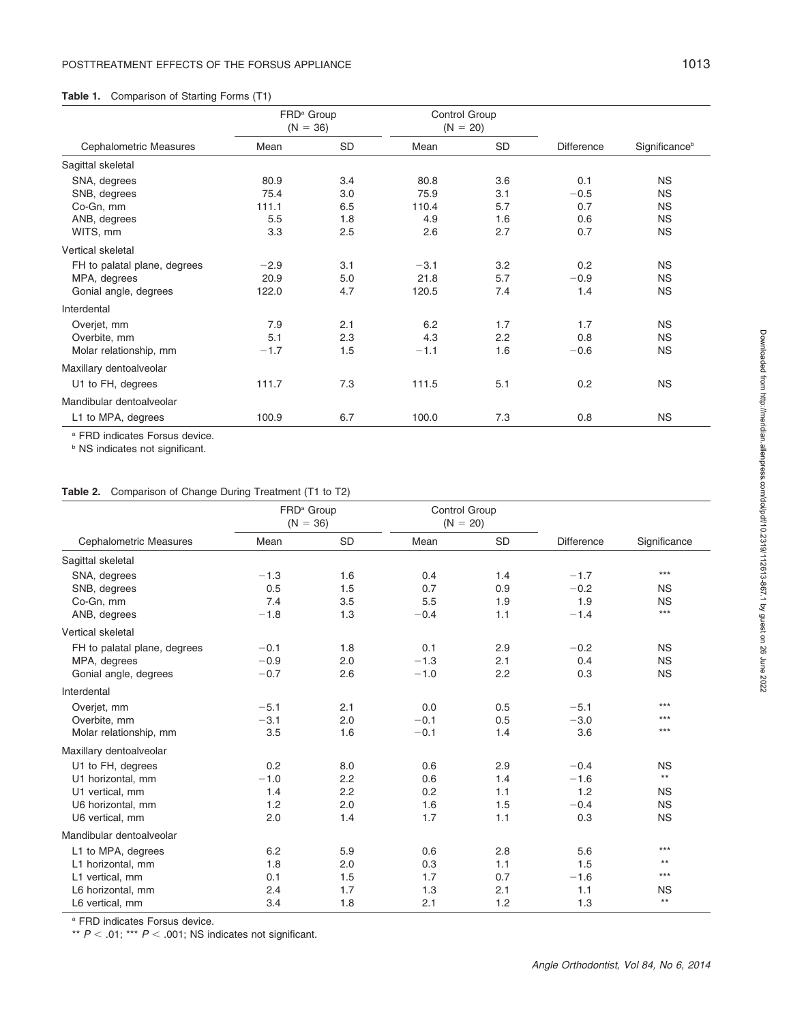#### Table 1. Comparison of Starting Forms (T1)

| Cephalometric Measures       | FRD <sup>a</sup> Group<br>$(N = 36)$ |     | Control Group<br>$(N = 20)$ |     |                   |                           |
|------------------------------|--------------------------------------|-----|-----------------------------|-----|-------------------|---------------------------|
|                              | Mean                                 | SD  | Mean                        | SD  | <b>Difference</b> | Significance <sup>b</sup> |
| Sagittal skeletal            |                                      |     |                             |     |                   |                           |
| SNA, degrees                 | 80.9                                 | 3.4 | 80.8                        | 3.6 | 0.1               | <b>NS</b>                 |
| SNB, degrees                 | 75.4                                 | 3.0 | 75.9                        | 3.1 | $-0.5$            | <b>NS</b>                 |
| Co-Gn, mm                    | 111.1                                | 6.5 | 110.4                       | 5.7 | 0.7               | <b>NS</b>                 |
| ANB, degrees                 | 5.5                                  | 1.8 | 4.9                         | 1.6 | 0.6               | <b>NS</b>                 |
| WITS, mm                     | 3.3                                  | 2.5 | 2.6                         | 2.7 | 0.7               | <b>NS</b>                 |
| Vertical skeletal            |                                      |     |                             |     |                   |                           |
| FH to palatal plane, degrees | $-2.9$                               | 3.1 | $-3.1$                      | 3.2 | 0.2               | <b>NS</b>                 |
| MPA, degrees                 | 20.9                                 | 5.0 | 21.8                        | 5.7 | $-0.9$            | <b>NS</b>                 |
| Gonial angle, degrees        | 122.0                                | 4.7 | 120.5                       | 7.4 | 1.4               | <b>NS</b>                 |
| Interdental                  |                                      |     |                             |     |                   |                           |
| Overjet, mm                  | 7.9                                  | 2.1 | 6.2                         | 1.7 | 1.7               | <b>NS</b>                 |
| Overbite, mm                 | 5.1                                  | 2.3 | 4.3                         | 2.2 | 0.8               | <b>NS</b>                 |
| Molar relationship, mm       | $-1.7$                               | 1.5 | $-1.1$                      | 1.6 | $-0.6$            | <b>NS</b>                 |
| Maxillary dentoalveolar      |                                      |     |                             |     |                   |                           |
| U1 to FH, degrees            | 111.7                                | 7.3 | 111.5                       | 5.1 | 0.2               | <b>NS</b>                 |
| Mandibular dentoalveolar     |                                      |     |                             |     |                   |                           |
| L1 to MPA, degrees           | 100.9                                | 6.7 | 100.0                       | 7.3 | 0.8               | <b>NS</b>                 |

<sup>a</sup> FRD indicates Forsus device.

**b** NS indicates not significant.

#### Table 2. Comparison of Change During Treatment (T1 to T2)

| <b>Cephalometric Measures</b> | FRD <sup>a</sup> Group<br>$(N = 36)$ |           | Control Group<br>$(N = 20)$ |           |            |                 |
|-------------------------------|--------------------------------------|-----------|-----------------------------|-----------|------------|-----------------|
|                               | Mean                                 | <b>SD</b> | Mean                        | <b>SD</b> | Difference | Significance    |
| Sagittal skeletal             |                                      |           |                             |           |            |                 |
| SNA, degrees                  | $-1.3$                               | 1.6       | 0.4                         | 1.4       | $-1.7$     | $***$           |
| SNB, degrees                  | 0.5                                  | 1.5       | 0.7                         | 0.9       | $-0.2$     | <b>NS</b>       |
| Co-Gn, mm                     | 7.4                                  | 3.5       | 5.5                         | 1.9       | 1.9        | <b>NS</b>       |
| ANB, degrees                  | $-1.8$                               | 1.3       | $-0.4$                      | 1.1       | $-1.4$     | $***$           |
| Vertical skeletal             |                                      |           |                             |           |            |                 |
| FH to palatal plane, degrees  | $-0.1$                               | 1.8       | 0.1                         | 2.9       | $-0.2$     | <b>NS</b>       |
| MPA, degrees                  | $-0.9$                               | 2.0       | $-1.3$                      | 2.1       | 0.4        | <b>NS</b>       |
| Gonial angle, degrees         | $-0.7$                               | 2.6       | $-1.0$                      | 2.2       | 0.3        | <b>NS</b>       |
| Interdental                   |                                      |           |                             |           |            |                 |
| Overjet, mm                   | $-5.1$                               | 2.1       | 0.0                         | 0.5       | $-5.1$     | $***$           |
| Overbite, mm                  | $-3.1$                               | 2.0       | $-0.1$                      | 0.5       | $-3.0$     | $***$           |
| Molar relationship, mm        | 3.5                                  | 1.6       | $-0.1$                      | 1.4       | 3.6        | $***$           |
| Maxillary dentoalveolar       |                                      |           |                             |           |            |                 |
| U1 to FH, degrees             | 0.2                                  | 8.0       | 0.6                         | 2.9       | $-0.4$     | <b>NS</b>       |
| U1 horizontal, mm             | $-1.0$                               | 2.2       | 0.6                         | 1.4       | $-1.6$     | $^{\star\star}$ |
| U1 vertical, mm               | 1.4                                  | 2.2       | 0.2                         | 1.1       | 1.2        | <b>NS</b>       |
| U6 horizontal, mm             | 1.2                                  | 2.0       | 1.6                         | 1.5       | $-0.4$     | <b>NS</b>       |
| U6 vertical, mm               | 2.0                                  | 1.4       | 1.7                         | 1.1       | 0.3        | <b>NS</b>       |
| Mandibular dentoalveolar      |                                      |           |                             |           |            |                 |
| L1 to MPA, degrees            | 6.2                                  | 5.9       | 0.6                         | 2.8       | 5.6        | $***$           |
| L1 horizontal, mm             | 1.8                                  | 2.0       | 0.3                         | 1.1       | 1.5        | $***$           |
| L1 vertical, mm               | 0.1                                  | 1.5       | 1.7                         | 0.7       | $-1.6$     | $***$           |
| L6 horizontal, mm             | 2.4                                  | 1.7       | 1.3                         | 2.1       | 1.1        | <b>NS</b>       |
| L6 vertical, mm               | 3.4                                  | 1.8       | 2.1                         | 1.2       | 1.3        | $\star\star$    |

<sup>a</sup> FRD indicates Forsus device.

\*\*  $P < .01$ ; \*\*\*  $P < .001$ ; NS indicates not significant.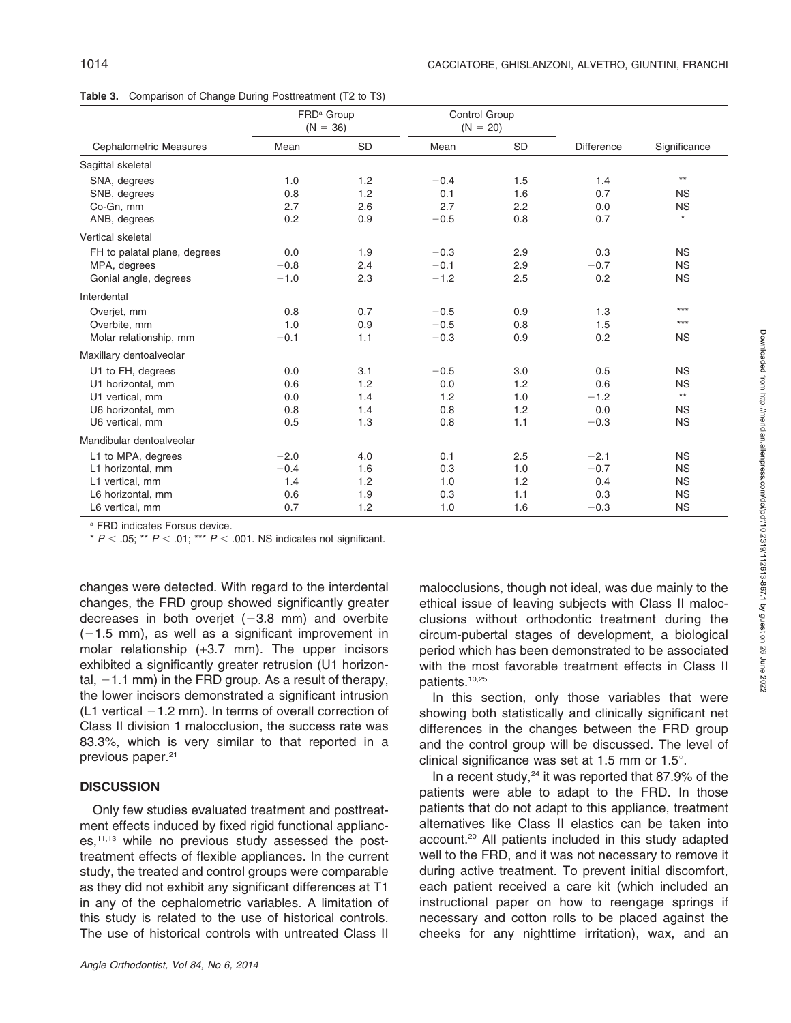Table 3. Comparison of Change During Posttreatment (T2 to T3)

|                              | FRD <sup>a</sup> Group<br>$(N = 36)$ |           | Control Group<br>$(N = 20)$ |           |                   |              |
|------------------------------|--------------------------------------|-----------|-----------------------------|-----------|-------------------|--------------|
| Cephalometric Measures       | Mean                                 | <b>SD</b> | Mean                        | <b>SD</b> | <b>Difference</b> | Significance |
| Sagittal skeletal            |                                      |           |                             |           |                   |              |
| SNA, degrees                 | 1.0                                  | 1.2       | $-0.4$                      | 1.5       | 1.4               | $***$        |
| SNB, degrees                 | 0.8                                  | 1.2       | 0.1                         | 1.6       | 0.7               | <b>NS</b>    |
| Co-Gn, mm                    | 2.7                                  | 2.6       | 2.7                         | 2.2       | 0.0               | <b>NS</b>    |
| ANB, degrees                 | 0.2                                  | 0.9       | $-0.5$                      | 0.8       | 0.7               | $\star$      |
| Vertical skeletal            |                                      |           |                             |           |                   |              |
| FH to palatal plane, degrees | 0.0                                  | 1.9       | $-0.3$                      | 2.9       | 0.3               | <b>NS</b>    |
| MPA, degrees                 | $-0.8$                               | 2.4       | $-0.1$                      | 2.9       | $-0.7$            | <b>NS</b>    |
| Gonial angle, degrees        | $-1.0$                               | 2.3       | $-1.2$                      | 2.5       | 0.2               | <b>NS</b>    |
| Interdental                  |                                      |           |                             |           |                   |              |
| Overjet, mm                  | 0.8                                  | 0.7       | $-0.5$                      | 0.9       | 1.3               | $***$        |
| Overbite, mm                 | 1.0                                  | 0.9       | $-0.5$                      | 0.8       | 1.5               | $***$        |
| Molar relationship, mm       | $-0.1$                               | 1.1       | $-0.3$                      | 0.9       | 0.2               | <b>NS</b>    |
| Maxillary dentoalveolar      |                                      |           |                             |           |                   |              |
| U1 to FH, degrees            | 0.0                                  | 3.1       | $-0.5$                      | 3.0       | 0.5               | <b>NS</b>    |
| U1 horizontal, mm            | 0.6                                  | 1.2       | 0.0                         | 1.2       | 0.6               | <b>NS</b>    |
| U1 vertical, mm              | 0.0                                  | 1.4       | 1.2                         | 1.0       | $-1.2$            | $***$        |
| U6 horizontal, mm            | 0.8                                  | 1.4       | 0.8                         | 1.2       | 0.0               | <b>NS</b>    |
| U6 vertical, mm              | 0.5                                  | 1.3       | 0.8                         | 1.1       | $-0.3$            | <b>NS</b>    |
| Mandibular dentoalveolar     |                                      |           |                             |           |                   |              |
| L1 to MPA, degrees           | $-2.0$                               | 4.0       | 0.1                         | 2.5       | $-2.1$            | <b>NS</b>    |
| L1 horizontal, mm            | $-0.4$                               | 1.6       | 0.3                         | 1.0       | $-0.7$            | <b>NS</b>    |
| L1 vertical, mm              | 1.4                                  | 1.2       | 1.0                         | 1.2       | 0.4               | <b>NS</b>    |
| L6 horizontal, mm            | 0.6                                  | 1.9       | 0.3                         | 1.1       | 0.3               | <b>NS</b>    |
| L6 vertical, mm              | 0.7                                  | 1.2       | 1.0                         | 1.6       | $-0.3$            | <b>NS</b>    |

<sup>a</sup> FRD indicates Forsus device.

\*  $P < .05$ ; \*\*  $P < .01$ ; \*\*\*  $P < .001$ . NS indicates not significant.

changes were detected. With regard to the interdental changes, the FRD group showed significantly greater decreases in both overjet  $(-3.8 \text{ mm})$  and overbite  $(-1.5$  mm), as well as a significant improvement in molar relationship (+3.7 mm). The upper incisors exhibited a significantly greater retrusion (U1 horizontal,  $-1.1$  mm) in the FRD group. As a result of therapy, the lower incisors demonstrated a significant intrusion (L1 vertical  $-1.2$  mm). In terms of overall correction of Class II division 1 malocclusion, the success rate was 83.3%, which is very similar to that reported in a previous paper.<sup>21</sup>

#### **DISCUSSION**

Only few studies evaluated treatment and posttreatment effects induced by fixed rigid functional appliances,11,13 while no previous study assessed the posttreatment effects of flexible appliances. In the current study, the treated and control groups were comparable as they did not exhibit any significant differences at T1 in any of the cephalometric variables. A limitation of this study is related to the use of historical controls. The use of historical controls with untreated Class II malocclusions, though not ideal, was due mainly to the ethical issue of leaving subjects with Class II malocclusions without orthodontic treatment during the circum-pubertal stages of development, a biological period which has been demonstrated to be associated with the most favorable treatment effects in Class II patients.10,25

In this section, only those variables that were showing both statistically and clinically significant net differences in the changes between the FRD group and the control group will be discussed. The level of clinical significance was set at 1.5 mm or  $1.5^{\circ}$ .

In a recent study, $24$  it was reported that 87.9% of the patients were able to adapt to the FRD. In those patients that do not adapt to this appliance, treatment alternatives like Class II elastics can be taken into account.20 All patients included in this study adapted well to the FRD, and it was not necessary to remove it during active treatment. To prevent initial discomfort, each patient received a care kit (which included an instructional paper on how to reengage springs if necessary and cotton rolls to be placed against the cheeks for any nighttime irritation), wax, and an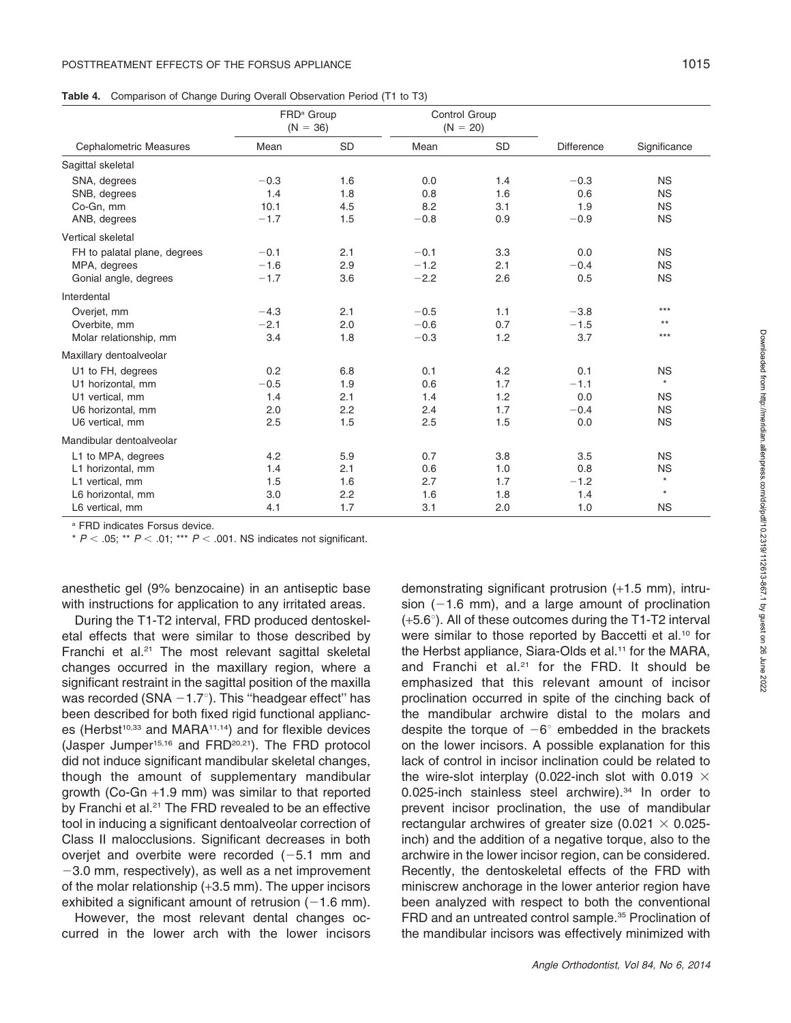|                               | FRD <sup>a</sup> Group<br>$(N = 36)$ |           | Control Group<br>$(N = 20)$ |           |                   |              |
|-------------------------------|--------------------------------------|-----------|-----------------------------|-----------|-------------------|--------------|
| <b>Cephalometric Measures</b> | Mean                                 | <b>SD</b> | Mean                        | <b>SD</b> | <b>Difference</b> | Significance |
| Sagittal skeletal             |                                      |           |                             |           |                   |              |
| SNA, degrees                  | $-0.3$                               | 1.6       | 0.0                         | 1.4       | $-0.3$            | <b>NS</b>    |
| SNB, degrees                  | 1.4                                  | 1.8       | 0.8                         | 1.6       | 0.6               | <b>NS</b>    |
| Co-Gn, mm                     | 10.1                                 | 4.5       | 8.2                         | 3.1       | 1.9               | <b>NS</b>    |
| ANB, degrees                  | $-1.7$                               | 1.5       | $-0.8$                      | 0.9       | $-0.9$            | <b>NS</b>    |
| Vertical skeletal             |                                      |           |                             |           |                   |              |
| FH to palatal plane, degrees  | $-0.1$                               | 2.1       | $-0.1$                      | 3.3       | 0.0               | <b>NS</b>    |
| MPA, degrees                  | $-1.6$                               | 2.9       | $-1.2$                      | 2.1       | $-0.4$            | <b>NS</b>    |
| Gonial angle, degrees         | $-1.7$                               | 3.6       | $-2.2$                      | 2.6       | 0.5               | <b>NS</b>    |
| Interdental                   |                                      |           |                             |           |                   |              |
| Overjet, mm                   | $-4.3$                               | 2.1       | $-0.5$                      | 1.1       | $-3.8$            | $***$        |
| Overbite, mm                  | $-2.1$                               | 2.0       | $-0.6$                      | 0.7       | $-1.5$            | $***$        |
| Molar relationship, mm        | 3.4                                  | 1.8       | $-0.3$                      | 1.2       | 3.7               | $***$        |
| Maxillary dentoalveolar       |                                      |           |                             |           |                   |              |
| U1 to FH, degrees             | 0.2                                  | 6.8       | 0.1                         | 4.2       | 0.1               | <b>NS</b>    |
| U1 horizontal, mm             | $-0.5$                               | 1.9       | 0.6                         | 1.7       | $-1.1$            | $\star$      |
| U1 vertical, mm               | 1.4                                  | 2.1       | 1.4                         | 1.2       | 0.0               | <b>NS</b>    |
| U6 horizontal, mm             | 2.0                                  | 2.2       | 2.4                         | 1.7       | $-0.4$            | <b>NS</b>    |
| U6 vertical, mm               | 2.5                                  | 1.5       | 2.5                         | 1.5       | 0.0               | <b>NS</b>    |
| Mandibular dentoalveolar      |                                      |           |                             |           |                   |              |
| L1 to MPA, degrees            | 4.2                                  | 5.9       | 0.7                         | 3.8       | 3.5               | <b>NS</b>    |
| L1 horizontal, mm             | 1.4                                  | 2.1       | 0.6                         | 1.0       | 0.8               | <b>NS</b>    |
| L1 vertical, mm               | 1.5                                  | 1.6       | 2.7                         | 1.7       | $-1.2$            | $\star$      |
| L6 horizontal, mm             | 3.0                                  | 2.2       | 1.6                         | 1.8       | 1.4               | $\star$      |
| L6 vertical, mm               | 4.1                                  | 1.7       | 3.1                         | 2.0       | 1.0               | <b>NS</b>    |

<sup>a</sup> FRD indicates Forsus device.

\*  $P < .05$ ; \*\*  $P < .01$ ; \*\*\*  $P < .001$ . NS indicates not significant.

anesthetic gel (9% benzocaine) in an antiseptic base with instructions for application to any irritated areas.

During the T1-T2 interval, FRD produced dentoskeletal effects that were similar to those described by Franchi et al. $21$  The most relevant sagittal skeletal changes occurred in the maxillary region, where a significant restraint in the sagittal position of the maxilla was recorded (SNA  $-1.7^{\circ}$ ). This "headgear effect" has been described for both fixed rigid functional appliances (Herbst<sup>10,33</sup> and MARA<sup>11,14</sup>) and for flexible devices (Jasper Jumper15,16 and FRD20,21). The FRD protocol did not induce significant mandibular skeletal changes, though the amount of supplementary mandibular growth (Co-Gn +1.9 mm) was similar to that reported by Franchi et al.<sup>21</sup> The FRD revealed to be an effective tool in inducing a significant dentoalveolar correction of Class II malocclusions. Significant decreases in both overjet and overbite were recorded  $(-5.1 \text{ mm and})$  $-3.0$  mm, respectively), as well as a net improvement of the molar relationship (+3.5 mm). The upper incisors exhibited a significant amount of retrusion  $(-1.6 \text{ mm})$ .

However, the most relevant dental changes occurred in the lower arch with the lower incisors demonstrating significant protrusion (+1.5 mm), intrusion  $(-1.6 \text{ mm})$ , and a large amount of proclination  $(+5.6^{\circ})$ . All of these outcomes during the T1-T2 interval were similar to those reported by Baccetti et al.<sup>10</sup> for the Herbst appliance, Siara-Olds et al.<sup>11</sup> for the MARA, and Franchi et al.<sup>21</sup> for the FRD. It should be emphasized that this relevant amount of incisor proclination occurred in spite of the cinching back of the mandibular archwire distal to the molars and despite the torque of  $-6^\circ$  embedded in the brackets on the lower incisors. A possible explanation for this lack of control in incisor inclination could be related to the wire-slot interplay (0.022-inch slot with 0.019  $\times$ 0.025-inch stainless steel archwire).<sup>34</sup> In order to prevent incisor proclination, the use of mandibular rectangular archwires of greater size (0.021  $\times$  0.025inch) and the addition of a negative torque, also to the archwire in the lower incisor region, can be considered. Recently, the dentoskeletal effects of the FRD with miniscrew anchorage in the lower anterior region have been analyzed with respect to both the conventional FRD and an untreated control sample.<sup>35</sup> Proclination of the mandibular incisors was effectively minimized with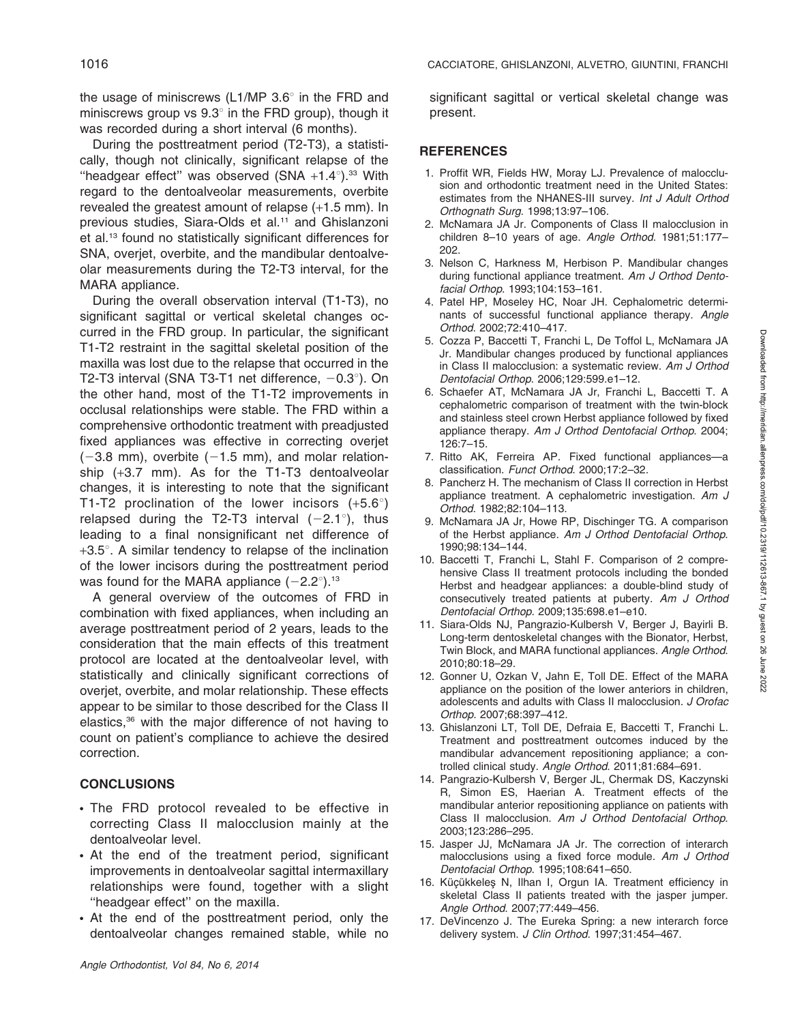the usage of miniscrews (L1/MP  $3.6^{\circ}$  in the FRD and miniscrews group vs  $9.3^\circ$  in the FRD group), though it was recorded during a short interval (6 months).

During the posttreatment period (T2-T3), a statistically, though not clinically, significant relapse of the "headgear effect" was observed  $(SNA + 1.4^{\circ})$ .<sup>33</sup> With regard to the dentoalveolar measurements, overbite revealed the greatest amount of relapse (+1.5 mm). In previous studies, Siara-Olds et al.<sup>11</sup> and Ghislanzoni et al.13 found no statistically significant differences for SNA, overjet, overbite, and the mandibular dentoalveolar measurements during the T2-T3 interval, for the MARA appliance.

During the overall observation interval (T1-T3), no significant sagittal or vertical skeletal changes occurred in the FRD group. In particular, the significant T1-T2 restraint in the sagittal skeletal position of the maxilla was lost due to the relapse that occurred in the T2-T3 interval (SNA T3-T1 net difference,  $-0.3^{\circ}$ ). On the other hand, most of the T1-T2 improvements in occlusal relationships were stable. The FRD within a comprehensive orthodontic treatment with preadjusted fixed appliances was effective in correcting overjet  $(-3.8 \text{ mm})$ , overbite  $(-1.5 \text{ mm})$ , and molar relationship (+3.7 mm). As for the T1-T3 dentoalveolar changes, it is interesting to note that the significant T1-T2 proclination of the lower incisors  $(+5.6^{\circ})$ relapsed during the T2-T3 interval  $(-2.1^{\circ})$ , thus leading to a final nonsignificant net difference of  $+3.5^\circ$ . A similar tendency to relapse of the inclination of the lower incisors during the posttreatment period was found for the MARA appliance  $(-2.2^{\circ})$ .<sup>13</sup>

A general overview of the outcomes of FRD in combination with fixed appliances, when including an average posttreatment period of 2 years, leads to the consideration that the main effects of this treatment protocol are located at the dentoalveolar level, with statistically and clinically significant corrections of overjet, overbite, and molar relationship. These effects appear to be similar to those described for the Class II elastics,<sup>36</sup> with the major difference of not having to count on patient's compliance to achieve the desired correction.

## **CONCLUSIONS**

- The FRD protocol revealed to be effective in correcting Class II malocclusion mainly at the dentoalveolar level.
- In At the end of the treatment period, significant improvements in dentoalveolar sagittal intermaxillary relationships were found, together with a slight ''headgear effect'' on the maxilla.
- At the end of the posttreatment period, only the dentoalveolar changes remained stable, while no

significant sagittal or vertical skeletal change was present.

## **REFERENCES**

- 1. Proffit WR, Fields HW, Moray LJ. Prevalence of malocclusion and orthodontic treatment need in the United States: estimates from the NHANES-III survey. Int J Adult Orthod Orthognath Surg. 1998;13:97–106.
- 2. McNamara JA Jr. Components of Class II malocclusion in children 8–10 years of age. Angle Orthod. 1981;51:177– 202.
- 3. Nelson C, Harkness M, Herbison P. Mandibular changes during functional appliance treatment. Am J Orthod Dentofacial Orthop. 1993;104:153–161.
- 4. Patel HP, Moseley HC, Noar JH. Cephalometric determinants of successful functional appliance therapy. Angle Orthod. 2002;72:410–417.
- 5. Cozza P, Baccetti T, Franchi L, De Toffol L, McNamara JA Jr. Mandibular changes produced by functional appliances in Class II malocclusion: a systematic review. Am J Orthod Dentofacial Orthop. 2006;129:599.e1–12.
- 6. Schaefer AT, McNamara JA Jr, Franchi L, Baccetti T. A cephalometric comparison of treatment with the twin-block and stainless steel crown Herbst appliance followed by fixed appliance therapy. Am J Orthod Dentofacial Orthop. 2004; 126:7–15.
- 7. Ritto AK, Ferreira AP. Fixed functional appliances—a classification. Funct Orthod. 2000;17:2–32.
- 8. Pancherz H. The mechanism of Class II correction in Herbst appliance treatment. A cephalometric investigation. Am J Orthod. 1982;82:104–113.
- 9. McNamara JA Jr, Howe RP, Dischinger TG. A comparison of the Herbst appliance. Am J Orthod Dentofacial Orthop. 1990;98:134–144.
- 10. Baccetti T, Franchi L, Stahl F. Comparison of 2 comprehensive Class II treatment protocols including the bonded Herbst and headgear appliances: a double-blind study of consecutively treated patients at puberty. Am J Orthod Dentofacial Orthop. 2009;135:698.e1–e10.
- 11. Siara-Olds NJ, Pangrazio-Kulbersh V, Berger J, Bayirli B. Long-term dentoskeletal changes with the Bionator, Herbst, Twin Block, and MARA functional appliances. Angle Orthod. 2010;80:18–29.
- 12. Gonner U, Ozkan V, Jahn E, Toll DE. Effect of the MARA appliance on the position of the lower anteriors in children, adolescents and adults with Class II malocclusion. J Orofac Orthop. 2007;68:397–412.
- 13. Ghislanzoni LT, Toll DE, Defraia E, Baccetti T, Franchi L. Treatment and posttreatment outcomes induced by the mandibular advancement repositioning appliance; a controlled clinical study. Angle Orthod. 2011;81:684–691.
- 14. Pangrazio-Kulbersh V, Berger JL, Chermak DS, Kaczynski R, Simon ES, Haerian A. Treatment effects of the mandibular anterior repositioning appliance on patients with Class II malocclusion. Am J Orthod Dentofacial Orthop. 2003;123:286–295.
- 15. Jasper JJ, McNamara JA Jr. The correction of interarch malocclusions using a fixed force module. Am J Orthod Dentofacial Orthop. 1995;108:641–650.
- 16. Küçükkeleş N, Ilhan I, Orgun IA. Treatment efficiency in skeletal Class II patients treated with the jasper jumper. Angle Orthod. 2007;77:449–456.
- 17. DeVincenzo J. The Eureka Spring: a new interarch force delivery system. J Clin Orthod. 1997;31:454-467.